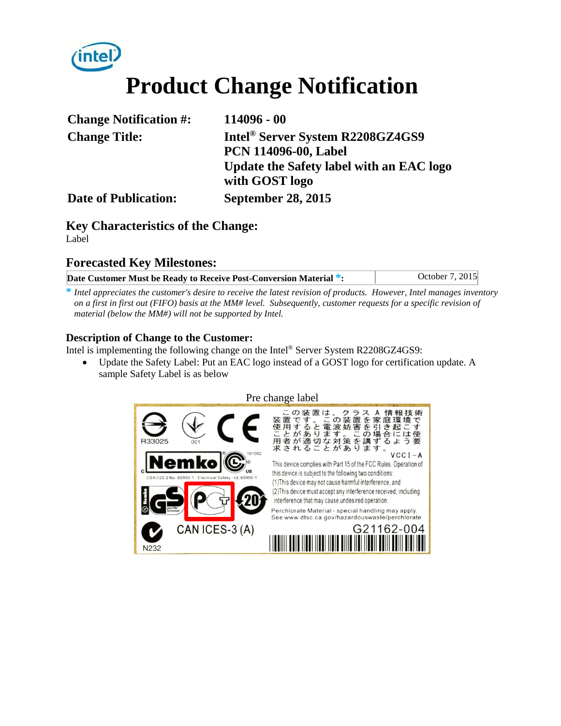# **Product Change Notification**

| <b>Change Notification #:</b> | 114096 - 00                                  |
|-------------------------------|----------------------------------------------|
| <b>Change Title:</b>          | Intel <sup>®</sup> Server System R2208GZ4GS9 |
|                               | <b>PCN 114096-00, Label</b>                  |
|                               | Update the Safety label with an EAC logo     |
|                               | with GOST logo                               |
| <b>Date of Publication:</b>   | <b>September 28, 2015</b>                    |

## **Key Characteristics of the Change:** Label

## **Forecasted Key Milestones:**

| Date Customer Must be Ready to Receive Post-Conversion Material *: | October 7, 2015 |
|--------------------------------------------------------------------|-----------------|

**\*** *Intel appreciates the customer's desire to receive the latest revision of products. However, Intel manages inventory on a first in first out (FIFO) basis at the MM# level. Subsequently, customer requests for a specific revision of material (below the MM#) will not be supported by Intel.*

## **Description of Change to the Customer:**

Intel is implementing the following change on the Intel® Server System R2208GZ4GS9:

• Update the Safety Label: Put an EAC logo instead of a GOST logo for certification update. A sample Safety Label is as below

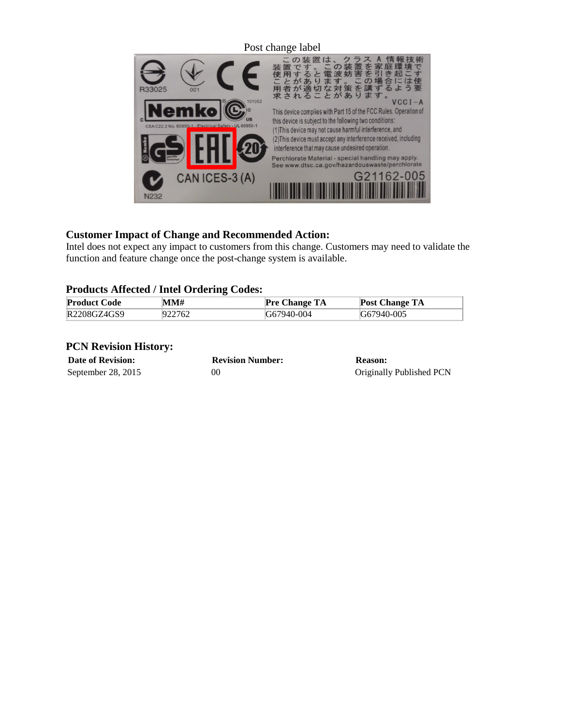

## **Customer Impact of Change and Recommended Action:**

Intel does not expect any impact to customers from this change. Customers may need to validate the function and feature change once the post-change system is available.

## **Products Affected / Intel Ordering Codes:**

| <b>Product Code</b> | MM#    | <b>Pre Change TA</b> | <b>Post Change TA</b> |
|---------------------|--------|----------------------|-----------------------|
| R2208GZ4GS9         | 922762 | G67940-004           | G67940-005            |

### **PCN Revision History:**

**Date of Revision: Revision Number: Reason:**

September 28, 2015 00 00 Originally Published PCN